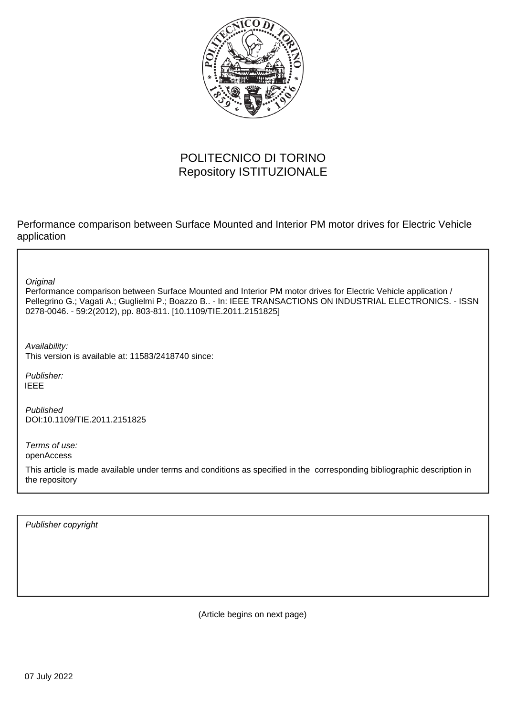

# POLITECNICO DI TORINO Repository ISTITUZIONALE

Performance comparison between Surface Mounted and Interior PM motor drives for Electric Vehicle application

**Original** 

Performance comparison between Surface Mounted and Interior PM motor drives for Electric Vehicle application / Pellegrino G.; Vagati A.; Guglielmi P.; Boazzo B.. - In: IEEE TRANSACTIONS ON INDUSTRIAL ELECTRONICS. - ISSN 0278-0046. - 59:2(2012), pp. 803-811. [10.1109/TIE.2011.2151825]

Availability: This version is available at: 11583/2418740 since:

Publisher: IEEE

Published DOI:10.1109/TIE.2011.2151825

Terms of use: openAccess

This article is made available under terms and conditions as specified in the corresponding bibliographic description in the repository

Publisher copyright

(Article begins on next page)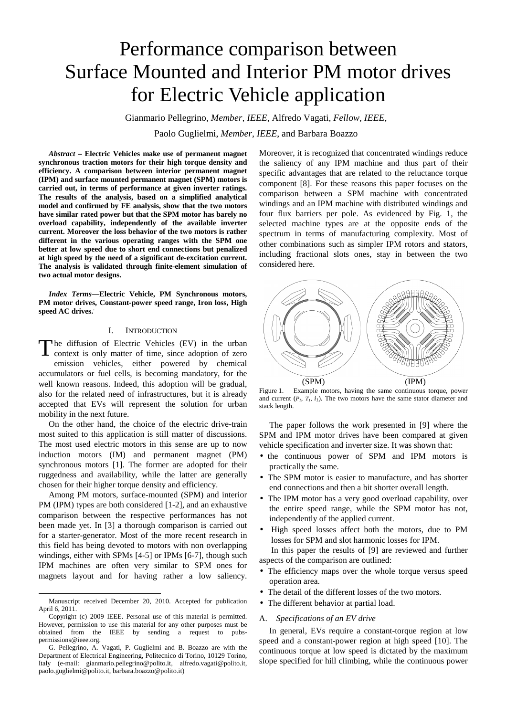# Performance comparison between Surface Mounted and Interior PM motor drives for Electric Vehicle application

Gianmario Pellegrino, *Member, IEEE*, Alfredo Vagati, *Fellow, IEEE*, Paolo Guglielmi, *Member, IEEE*, and Barbara Boazzo

*Abstract* **– Electric Vehicles make use of permanent magnet synchronous traction motors for their high torque density and efficiency. A comparison between interior permanent magnet (IPM) and surface mounted permanent magnet (SPM) motors is carried out, in terms of performance at given inverter ratings. The results of the analysis, based on a simplified analytical model and confirmed by FE analysis, show that the two motors have similar rated power but that the SPM motor has barely no overload capability, independently of the available inverter current. Moreover the loss behavior of the two motors is rather different in the various operating ranges with the SPM one better at low speed due to short end connections but penalized at high speed by the need of a significant de-excitation current. The analysis is validated through finite-element simulation of two actual motor designs.** 

*Index Terms***—Electric Vehicle, PM Synchronous motors, PM motor drives, Constant-power speed range, Iron loss, High speed AC drives..**

# I. INTRODUCTION

he diffusion of Electric Vehicles (EV) in the urban context is only matter of time, since adoption of zero emission vehicles, either powered by chemical accumulators or fuel cells, is becoming mandatory, for the well known reasons. Indeed, this adoption will be gradual, also for the related need of infrastructures, but it is already accepted that EVs will represent the solution for urban mobility in the next future. T

On the other hand, the choice of the electric drive-train most suited to this application is still matter of discussions. The most used electric motors in this sense are up to now induction motors (IM) and permanent magnet (PM) synchronous motors [1]. The former are adopted for their ruggedness and availability, while the latter are generally chosen for their higher torque density and efficiency.

Among PM motors, surface-mounted (SPM) and interior PM (IPM) types are both considered [1-2], and an exhaustive comparison between the respective performances has not been made yet. In [3] a thorough comparison is carried out for a starter-generator. Most of the more recent research in this field has being devoted to motors with non overlapping windings, either with SPMs [4-5] or IPMs [6-7], though such IPM machines are often very similar to SPM ones for magnets layout and for having rather a low saliency.

1

Moreover, it is recognized that concentrated windings reduce the saliency of any IPM machine and thus part of their specific advantages that are related to the reluctance torque component [8]. For these reasons this paper focuses on the comparison between a SPM machine with concentrated windings and an IPM machine with distributed windings and four flux barriers per pole. As evidenced by Fig. 1, the selected machine types are at the opposite ends of the spectrum in terms of manufacturing complexity. Most of other combinations such as simpler IPM rotors and stators, including fractional slots ones, stay in between the two considered here.



Figure 1. Example motors, having the same continuous torque, power and current  $(P_1, T_1, i_1)$ . The two motors have the same stator diameter and stack length.

The paper follows the work presented in [9] where the SPM and IPM motor drives have been compared at given vehicle specification and inverter size. It was shown that:

- the continuous power of SPM and IPM motors is practically the same.
- The SPM motor is easier to manufacture, and has shorter end connections and then a bit shorter overall length.
- The IPM motor has a very good overload capability, over the entire speed range, while the SPM motor has not, independently of the applied current.
- High speed losses affect both the motors, due to PM losses for SPM and slot harmonic losses for IPM.

In this paper the results of [9] are reviewed and further aspects of the comparison are outlined:

- The efficiency maps over the whole torque versus speed operation area.
- The detail of the different losses of the two motors.
- The different behavior at partial load.

# A. *Specifications of an EV drive*

In general, EVs require a constant-torque region at low speed and a constant-power region at high speed [10]. The continuous torque at low speed is dictated by the maximum slope specified for hill climbing, while the continuous power

Manuscript received December 20, 2010. Accepted for publication April 6, 2011.

Copyright (c) 2009 IEEE. Personal use of this material is permitted. However, permission to use this material for any other purposes must be obtained from the IEEE by sending a request to pubspermissions@ieee.org.

G. Pellegrino, A. Vagati, P. Guglielmi and B. Boazzo are with the Department of Electrical Engineering, Politecnico di Torino, 10129 Torino, Italy (e-mail: gianmario.pellegrino@polito.it, alfredo.vagati@polito.it, paolo.guglielmi@polito.it, barbara.boazzo@polito.it)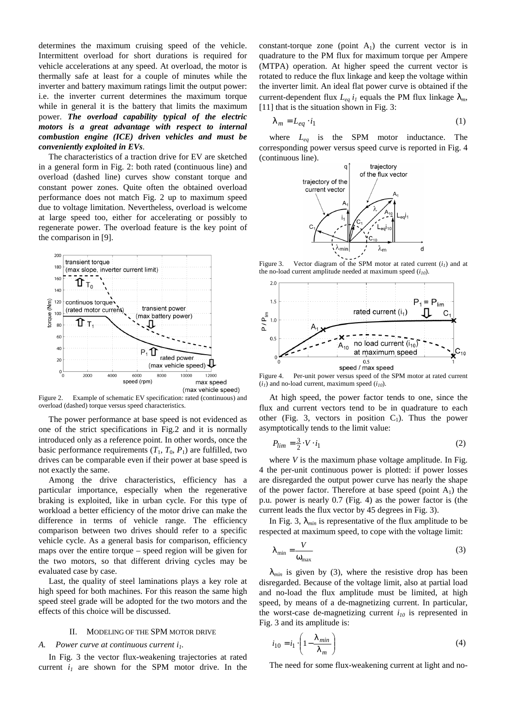determines the maximum cruising speed of the vehicle. Intermittent overload for short durations is required for vehicle accelerations at any speed. At overload, the motor is thermally safe at least for a couple of minutes while the inverter and battery maximum ratings limit the output power: i.e. the inverter current determines the maximum torque while in general it is the battery that limits the maximum power. *The overload capability typical of the electric motors is a great advantage with respect to internal combustion engine (ICE) driven vehicles and must be conveniently exploited in EVs*.

The characteristics of a traction drive for EV are sketched in a general form in Fig. 2: both rated (continuous line) and overload (dashed line) curves show constant torque and constant power zones. Quite often the obtained overload performance does not match Fig. 2 up to maximum speed due to voltage limitation. Nevertheless, overload is welcome at large speed too, either for accelerating or possibly to regenerate power. The overload feature is the key point of the comparison in [9].



Figure 2. Example of schematic EV specification: rated (continuous) and overload (dashed) torque versus speed characteristics.

The power performance at base speed is not evidenced as one of the strict specifications in Fig.2 and it is normally introduced only as a reference point. In other words, once the basic performance requirements  $(T_1, T_0, P_1)$  are fulfilled, two drives can be comparable even if their power at base speed is not exactly the same.

Among the drive characteristics, efficiency has a particular importance, especially when the regenerative braking is exploited, like in urban cycle. For this type of workload a better efficiency of the motor drive can make the difference in terms of vehicle range. The efficiency comparison between two drives should refer to a specific vehicle cycle. As a general basis for comparison, efficiency maps over the entire torque – speed region will be given for the two motors, so that different driving cycles may be evaluated case by case.

Last, the quality of steel laminations plays a key role at high speed for both machines. For this reason the same high speed steel grade will be adopted for the two motors and the effects of this choice will be discussed.

#### II. MODELING OF THE SPM MOTOR DRIVE

# *A. Power curve at continuous current i1.*

In Fig. 3 the vector flux-weakening trajectories at rated current  $i_l$  are shown for the SPM motor drive. In the constant-torque zone (point  $A_1$ ) the current vector is in quadrature to the PM flux for maximum torque per Ampere (MTPA) operation. At higher speed the current vector is rotated to reduce the flux linkage and keep the voltage within the inverter limit. An ideal flat power curve is obtained if the current-dependent flux  $L_{eq}$   $i_l$  equals the PM flux linkage  $\lambda_m$ , [11] that is the situation shown in Fig. 3:

$$
\lambda_m = L_{eq} \cdot i_1 \tag{1}
$$

where *Leq* is the SPM motor inductance. The corresponding power versus speed curve is reported in Fig. 4 (continuous line).



Figure 3. Vector diagram of the SPM motor at rated current  $(i_l)$  and at the no-load current amplitude needed at maximum speed (*i10*).

d



Figure 4. Per-unit power versus speed of the SPM motor at rated current  $(i<sub>I</sub>)$  and no-load current, maximum speed  $(i<sub>I0</sub>)$ .

At high speed, the power factor tends to one, since the flux and current vectors tend to be in quadrature to each other (Fig. 3, vectors in position  $C_1$ ). Thus the power asymptotically tends to the limit value:

$$
P_{lim} = \frac{3}{2} \cdot V \cdot i_1 \tag{2}
$$

where *V* is the maximum phase voltage amplitude. In Fig. 4 the per-unit continuous power is plotted: if power losses are disregarded the output power curve has nearly the shape of the power factor. Therefore at base speed (point  $A_1$ ) the p.u. power is nearly 0.7 (Fig. 4) as the power factor is (the current leads the flux vector by 45 degrees in Fig. 3).

In Fig. 3,  $\lambda_{min}$  is representative of the flux amplitude to be respected at maximum speed, to cope with the voltage limit:

$$
\lambda_{\min} = \frac{V}{\omega_{\max}}\tag{3}
$$

 $\lambda_{min}$  is given by (3), where the resistive drop has been disregarded. Because of the voltage limit, also at partial load and no-load the flux amplitude must be limited, at high speed, by means of a de-magnetizing current. In particular, the worst-case de-magnetizing current  $i_{10}$  is represented in Fig. 3 and its amplitude is:

$$
i_{10} = i_1 \cdot \left(1 - \frac{\lambda_{min}}{\lambda_m}\right) \tag{4}
$$

The need for some flux-weakening current at light and no-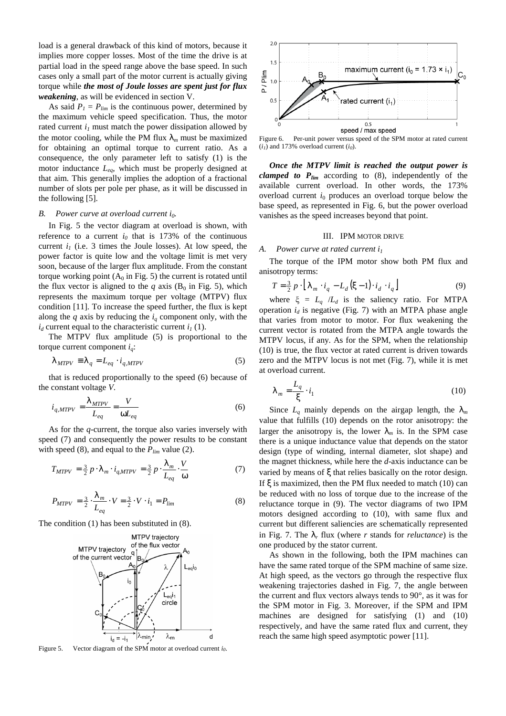load is a general drawback of this kind of motors, because it implies more copper losses. Most of the time the drive is at partial load in the speed range above the base speed. In such cases only a small part of the motor current is actually giving torque while *the most of Joule losses are spent just for flux weakening*, as will be evidenced in section V.

As said  $P_I = P_{\text{lim}}$  is the continuous power, determined by the maximum vehicle speed specification. Thus, the motor rated current  $i_l$  must match the power dissipation allowed by the motor cooling, while the PM flux  $\lambda_m$  must be maximized for obtaining an optimal torque to current ratio. As a consequence, the only parameter left to satisfy (1) is the motor inductance *Leq*, which must be properly designed at that aim. This generally implies the adoption of a fractional number of slots per pole per phase, as it will be discussed in the following [5].

#### *B. Power curve at overload current i0.*

In Fig. 5 the vector diagram at overload is shown, with reference to a current  $i_0$  that is 173% of the continuous current  $i_l$  (i.e. 3 times the Joule losses). At low speed, the power factor is quite low and the voltage limit is met very soon, because of the larger flux amplitude. From the constant torque working point  $(A_0$  in Fig. 5) the current is rotated until the flux vector is aligned to the *q* axis  $(B_0 \text{ in Fig. 5})$ , which represents the maximum torque per voltage (MTPV) flux condition [11]. To increase the speed further, the flux is kept along the  $q$  axis by reducing the  $i_q$  component only, with the  $i_d$  current equal to the characteristic current  $i_l$  (1).

The MTPV flux amplitude (5) is proportional to the torque current component *iq*:

$$
\lambda_{MTPV} \equiv \lambda_q = L_{eq} \cdot i_{q,MTPV} \tag{5}
$$

that is reduced proportionally to the speed (6) because of the constant voltage *V*.

$$
i_{q,MTPV} = \frac{\lambda_{MTPV}}{L_{eq}} = \frac{V}{\omega L_{eq}} \tag{6}
$$

As for the *q*-current, the torque also varies inversely with speed (7) and consequently the power results to be constant with speed (8), and equal to the *Plim* value (2).

$$
T_{MTPV} = \frac{3}{2} p \cdot \lambda_m \cdot i_{q,MTPV} = \frac{3}{2} p \cdot \frac{\lambda_m}{L_{eq}} \cdot \frac{V}{\omega} \tag{7}
$$

$$
P_{MTPV} = \frac{3}{2} \cdot \frac{\lambda_m}{L_{eq}} \cdot V = \frac{3}{2} \cdot V \cdot i_1 = P_{lim}
$$
 (8)

The condition (1) has been substituted in (8).

![](_page_3_Figure_12.jpeg)

Figure 5. Vector diagram of the SPM motor at overload current *i0*.

![](_page_3_Figure_14.jpeg)

Figure 6. Per-unit power versus speed of the SPM motor at rated current  $(i<sub>i</sub>)$  and 173% overload current  $(i<sub>0</sub>)$ .

*Once the MTPV limit is reached the output power is clamped to*  $P_{lim}$  *according to (8), independently of the* available current overload. In other words, the 173% overload current *i*<sub>0</sub> produces an overload torque below the base speed, as represented in Fig. 6, but the power overload vanishes as the speed increases beyond that point.

# III. IPM MOTOR DRIVE

*A. Power curve at rated current i<sup>1</sup>*

The torque of the IPM motor show both PM flux and anisotropy terms:

$$
T = \frac{3}{2} p \cdot \left[ \lambda_m \cdot i_q - L_d \left( \xi - 1 \right) \cdot i_d \cdot i_q \right] \tag{9}
$$

where  $\xi = L_q / L_d$  is the saliency ratio. For MTPA operation  $i_d$  is negative (Fig. 7) with an MTPA phase angle that varies from motor to motor. For flux weakening the current vector is rotated from the MTPA angle towards the MTPV locus, if any. As for the SPM, when the relationship (10) is true, the flux vector at rated current is driven towards zero and the MTPV locus is not met (Fig. 7), while it is met at overload current.

$$
\lambda_m = \frac{L_q}{\xi} \cdot i_1 \tag{10}
$$

Since  $L_q$  mainly depends on the airgap length, the  $\lambda_m$ value that fulfills (10) depends on the rotor anisotropy: the larger the anisotropy is, the lower  $\lambda_m$  is. In the SPM case there is a unique inductance value that depends on the stator design (type of winding, internal diameter, slot shape) and the magnet thickness, while here the *d*-axis inductance can be varied by means of ξ that relies basically on the rotor design. If  $\xi$  is maximized, then the PM flux needed to match (10) can be reduced with no loss of torque due to the increase of the reluctance torque in (9). The vector diagrams of two IPM motors designed according to (10), with same flux and current but different saliencies are schematically represented in Fig. 7. The λ*<sup>r</sup>* flux (where *r* stands for *reluctance*) is the one produced by the stator current.

As shown in the following, both the IPM machines can have the same rated torque of the SPM machine of same size. At high speed, as the vectors go through the respective flux weakening trajectories dashed in Fig. 7, the angle between the current and flux vectors always tends to 90°, as it was for the SPM motor in Fig. 3. Moreover, if the SPM and IPM machines are designed for satisfying (1) and (10) respectively, and have the same rated flux and current, they reach the same high speed asymptotic power [11].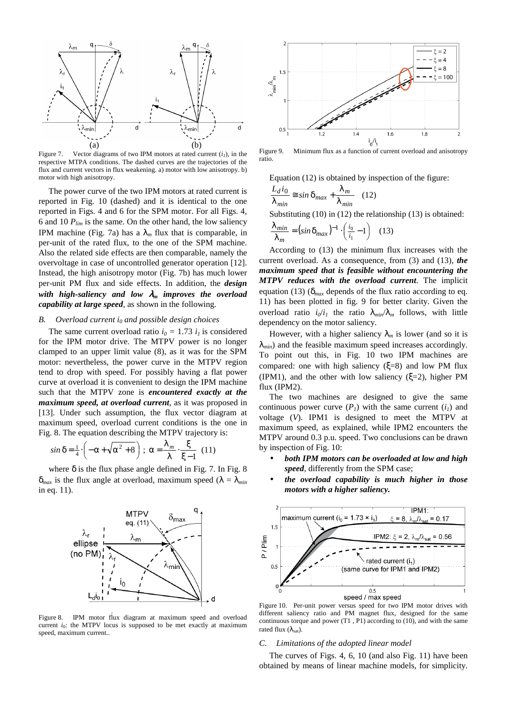![](_page_4_Figure_0.jpeg)

Figure 7. Vector diagrams of two IPM motors at rated current  $(i_l)$ , in the respective MTPA conditions. The dashed curves are the trajectories of the flux and current vectors in flux weakening. a) motor with low anisotropy. b) motor with high anisotropy.

The power curve of the two IPM motors at rated current is reported in Fig. 10 (dashed) and it is identical to the one reported in Figs. 4 and 6 for the SPM motor. For all Figs. 4, 6 and 10  $P_{lim}$  is the same. On the other hand, the low saliency IPM machine (Fig. 7a) has a  $\lambda_m$  flux that is comparable, in per-unit of the rated flux, to the one of the SPM machine. Also the related side effects are then comparable, namely the overvoltage in case of uncontrolled generator operation [12]. Instead, the high anisotropy motor (Fig. 7b) has much lower per-unit PM flux and side effects. In addition, the *design with high-saliency and low* λ*m improves the overload capability at large speed*, as shown in the following.

# *B. Overload current i0 and possible design choices*

The same current overload ratio  $i_0 = 1.73$   $i_1$  is considered for the IPM motor drive. The MTPV power is no longer clamped to an upper limit value (8), as it was for the SPM motor: nevertheless, the power curve in the MTPV region tend to drop with speed. For possibly having a flat power curve at overload it is convenient to design the IPM machine such that the MTPV zone is *encountered exactly at the maximum speed, at overload current*, as it was proposed in [13]. Under such assumption, the flux vector diagram at maximum speed, overload current conditions is the one in Fig. 8. The equation describing the MTPV trajectory is:

$$
\sin \delta = \frac{1}{4} \cdot \left( -\alpha + \sqrt{\alpha^2 + 8} \right) ; \ \alpha = \frac{\lambda_m}{\lambda} \cdot \frac{\xi}{\xi - 1} \ \ (11)
$$

where  $\delta$  is the flux phase angle defined in Fig. 7. In Fig. 8  $\delta_{max}$  is the flux angle at overload, maximum speed ( $\lambda = \lambda_{min}$ ) in eq. 11).

![](_page_4_Figure_7.jpeg)

Figure 8. IPM motor flux diagram at maximum speed and overload current *i*<sub>0</sub>: the MTPV locus is supposed to be met exactly at maximum speed, maximum current..

![](_page_4_Figure_9.jpeg)

Figure 9. Minimum flux as a function of current overload and anisotropy ratio.

Equation (12) is obtained by inspection of the figure:

$$
\frac{L_d i_0}{\lambda_{min}} \approx \sin \delta_{max} + \frac{\lambda_m}{\lambda_{min}} \quad (12)
$$

Substituting (10) in (12) the relationship (13) is obtained:

$$
\frac{\lambda_{min}}{\lambda_m} = (\sin \delta_{max})^{-1} \cdot \left(\frac{i_0}{i_1} - 1\right) \quad (13)
$$

According to (13) the minimum flux increases with the current overload. As a consequence, from (3) and (13), *the maximum speed that is feasible without encountering the MTPV reduces with the overload current*. The implicit equation (13) (δ*max* depends of the flux ratio according to eq. 11) has been plotted in fig. 9 for better clarity. Given the overload ratio  $i_0/i_1$  the ratio  $\lambda_{min}/\lambda_m$  follows, with little dependency on the motor saliency.

However, with a higher saliency  $\lambda_m$  is lower (and so it is  $\lambda_{min}$ ) and the feasible maximum speed increases accordingly. To point out this, in Fig. 10 two IPM machines are compared: one with high saliency (ξ=8) and low PM flux (IPM1), and the other with low saliency ( $\xi=2$ ), higher PM flux (IPM2).

The two machines are designed to give the same continuous power curve  $(P<sub>I</sub>)$  with the same current  $(i<sub>I</sub>)$  and voltage (*V*). IPM1 is designed to meet the MTPV at maximum speed, as explained, while IPM2 encounters the MTPV around 0.3 p.u. speed. Two conclusions can be drawn by inspection of Fig. 10:

- *both IPM motors can be overloaded at low and high speed*, differently from the SPM case;
- *the overload capability is much higher in those motors with a higher saliency.*

![](_page_4_Figure_20.jpeg)

Figure 10. Per-unit power versus speed for two IPM motor drives with different saliency ratio and PM magnet flux, designed for the same continuous torque and power (T1 , P1) according to (10), and with the same rated flux  $(λ<sub>est</sub>)$ .

#### *C. Limitations of the adopted linear model*

The curves of Figs. 4, 6, 10 (and also Fig. 11) have been obtained by means of linear machine models, for simplicity.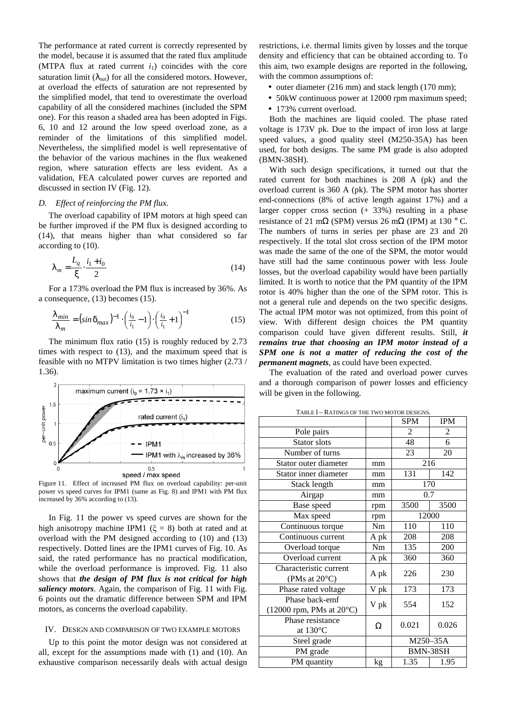The performance at rated current is correctly represented by the model, because it is assumed that the rated flux amplitude (MTPA flux at rated current  $i_1$ ) coincides with the core saturation limit  $(\lambda_{sat})$  for all the considered motors. However, at overload the effects of saturation are not represented by the simplified model, that tend to overestimate the overload capability of all the considered machines (included the SPM one). For this reason a shaded area has been adopted in Figs. 6, 10 and 12 around the low speed overload zone, as a reminder of the limitations of this simplified model. Nevertheless, the simplified model is well representative of the behavior of the various machines in the flux weakened region, where saturation effects are less evident. As a validation, FEA calculated power curves are reported and discussed in section IV (Fig. 12).

# *D. Effect of reinforcing the PM flux.*

The overload capability of IPM motors at high speed can be further improved if the PM flux is designed according to (14), that means higher than what considered so far according to (10).

$$
\lambda_m = \frac{L_q}{\xi} \cdot \frac{i_1 + i_0}{2} \tag{14}
$$

For a 173% overload the PM flux is increased by 36%. As a consequence, (13) becomes (15).

$$
\frac{\lambda_{min}}{\lambda_m} = \left(\sin \delta_{max}\right)^{-1} \cdot \left(\frac{i_0}{i_1} - 1\right) \cdot \left(\frac{i_0}{i_1} + 1\right)^{-1} \tag{15}
$$

The minimum flux ratio (15) is roughly reduced by 2.73 times with respect to (13), and the maximum speed that is feasible with no MTPV limitation is two times higher (2.73 / 1.36).

![](_page_5_Figure_7.jpeg)

Figure 11. Effect of increased PM flux on overload capability: per-unit power vs speed curves for IPM1 (same as Fig. 8) and IPM1 with PM flux increased by 36% according to (13).

In Fig. 11 the power vs speed curves are shown for the high anisotropy machine IPM1 ( $\xi = 8$ ) both at rated and at overload with the PM designed according to (10) and (13) respectively. Dotted lines are the IPM1 curves of Fig. 10. As said, the rated performance has no practical modification, while the overload performance is improved. Fig. 11 also shows that *the design of PM flux is not critical for high saliency motors*. Again, the comparison of Fig. 11 with Fig. 6 points out the dramatic difference between SPM and IPM motors, as concerns the overload capability.

#### IV. DESIGN AND COMPARISON OF TWO EXAMPLE MOTORS

Up to this point the motor design was not considered at all, except for the assumptions made with (1) and (10). An exhaustive comparison necessarily deals with actual design restrictions, i.e. thermal limits given by losses and the torque density and efficiency that can be obtained according to. To this aim, two example designs are reported in the following, with the common assumptions of:

- outer diameter (216 mm) and stack length (170 mm);
- 50kW continuous power at 12000 rpm maximum speed;
- 173% current overload.

Both the machines are liquid cooled. The phase rated voltage is 173V pk. Due to the impact of iron loss at large speed values, a good quality steel (M250-35A) has been used, for both designs. The same PM grade is also adopted (BMN-38SH).

With such design specifications, it turned out that the rated current for both machines is 208 A (pk) and the overload current is 360 A (pk). The SPM motor has shorter end-connections (8% of active length against 17%) and a larger copper cross section  $(+33%)$  resulting in a phase resistance of 21 m $\Omega$  (SPM) versus 26 m $\Omega$  (IPM) at 130 °C. The numbers of turns in series per phase are 23 and 20 respectively. If the total slot cross section of the IPM motor was made the same of the one of the SPM, the motor would have still had the same continuous power with less Joule losses, but the overload capability would have been partially limited. It is worth to notice that the PM quantity of the IPM rotor is 40% higher than the one of the SPM rotor. This is not a general rule and depends on the two specific designs. The actual IPM motor was not optimized, from this point of view. With different design choices the PM quantity comparison could have given different results. Still, *it remains true that choosing an IPM motor instead of a SPM one is not a matter of reducing the cost of the permanent magnets*, as could have been expected.

The evaluation of the rated and overload power curves and a thorough comparison of power losses and efficiency will be given in the following.

|                                                        |      | <b>SPM</b> | <b>IPM</b> |
|--------------------------------------------------------|------|------------|------------|
| Pole pairs                                             |      | 2          | 2          |
| Stator slots                                           |      | 48         | 6          |
| Number of turns                                        |      | 23         | 20         |
| Stator outer diameter                                  | mm   | 216        |            |
| Stator inner diameter                                  | mm   | 131        | 142        |
| Stack length                                           | mm   | 170        |            |
| Airgap                                                 | mm   | 0.7        |            |
| Base speed                                             | rpm  | 3500       | 3500       |
| Max speed                                              | rpm  | 12000      |            |
| Continuous torque                                      | Nm   | 110        | 110        |
| Continuous current                                     | A pk | 208        | 208        |
| Overload torque                                        | Nm   | 135        | 200        |
| Overload current                                       | A pk | 360        | 360        |
| Characteristic current<br>(PMs at $20^{\circ}$ C)      | A pk | 226        | 230        |
| Phase rated voltage                                    | V pk | 173        | 173        |
| Phase back-emf<br>$(12000$ rpm, PMs at $20^{\circ}$ C) | V pk | 554        | 152        |
| Phase resistance<br>at $130^{\circ}$ C                 | Ω    | 0.021      | 0.026      |
| Steel grade                                            |      | M250-35A   |            |
| PM grade                                               |      | BMN-38SH   |            |
| PM quantity                                            | kg   | 1.35       | 1.95       |

TABLE I - RATINGS OF THE TWO MOTOR DESIGNS.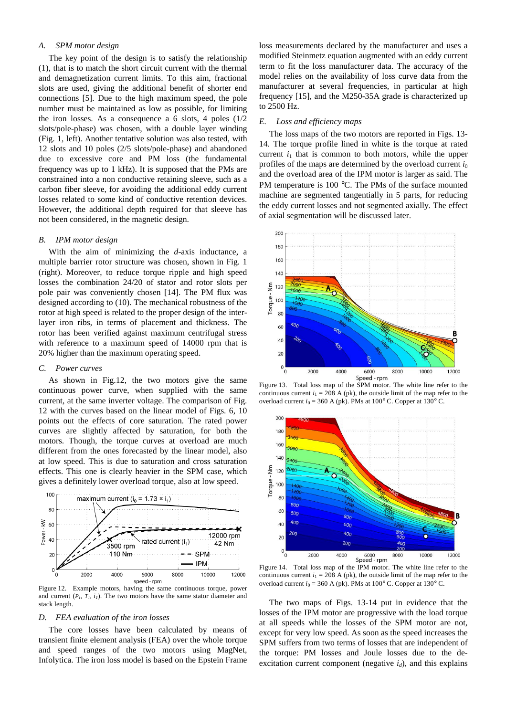# *A. SPM motor design*

The key point of the design is to satisfy the relationship (1), that is to match the short circuit current with the thermal and demagnetization current limits. To this aim, fractional slots are used, giving the additional benefit of shorter end connections [5]. Due to the high maximum speed, the pole number must be maintained as low as possible, for limiting the iron losses. As a consequence a 6 slots, 4 poles (1/2 slots/pole-phase) was chosen, with a double layer winding (Fig. 1, left). Another tentative solution was also tested, with 12 slots and 10 poles (2/5 slots/pole-phase) and abandoned due to excessive core and PM loss (the fundamental frequency was up to 1 kHz). It is supposed that the PMs are constrained into a non conductive retaining sleeve, such as a carbon fiber sleeve, for avoiding the additional eddy current losses related to some kind of conductive retention devices. However, the additional depth required for that sleeve has not been considered, in the magnetic design.

#### *B. IPM motor design*

With the aim of minimizing the *d*-axis inductance, a multiple barrier rotor structure was chosen, shown in Fig. 1 (right). Moreover, to reduce torque ripple and high speed losses the combination 24/20 of stator and rotor slots per pole pair was conveniently chosen [14]. The PM flux was designed according to (10). The mechanical robustness of the rotor at high speed is related to the proper design of the interlayer iron ribs, in terms of placement and thickness. The rotor has been verified against maximum centrifugal stress with reference to a maximum speed of 14000 rpm that is 20% higher than the maximum operating speed.

# *C. Power curves*

As shown in Fig.12, the two motors give the same continuous power curve, when supplied with the same current, at the same inverter voltage. The comparison of Fig. 12 with the curves based on the linear model of Figs. 6, 10 points out the effects of core saturation. The rated power curves are slightly affected by saturation, for both the motors. Though, the torque curves at overload are much different from the ones forecasted by the linear model, also at low speed. This is due to saturation and cross saturation effects. This one is clearly heavier in the SPM case, which gives a definitely lower overload torque, also at low speed.

![](_page_6_Figure_6.jpeg)

Figure 12. Example motors, having the same continuous torque, power and current  $(P_I, T_I, i_I)$ . The two motors have the same stator diameter and stack length.

#### *D. FEA evaluation of the iron losses*

The core losses have been calculated by means of transient finite element analysis (FEA) over the whole torque and speed ranges of the two motors using MagNet, Infolytica. The iron loss model is based on the Epstein Frame loss measurements declared by the manufacturer and uses a modified Steinmetz equation augmented with an eddy current term to fit the loss manufacturer data. The accuracy of the model relies on the availability of loss curve data from the manufacturer at several frequencies, in particular at high frequency [15], and the M250-35A grade is characterized up to 2500 Hz.

#### *E. Loss and efficiency maps*

The loss maps of the two motors are reported in Figs. 13- 14. The torque profile lined in white is the torque at rated current  $i_1$  that is common to both motors, while the upper profiles of the maps are determined by the overload current  $i_0$ and the overload area of the IPM motor is larger as said. The PM temperature is 100 °C. The PMs of the surface mounted machine are segmented tangentially in 5 parts, for reducing the eddy current losses and not segmented axially. The effect of axial segmentation will be discussed later.

![](_page_6_Figure_13.jpeg)

Figure 13. Total loss map of the SPM motor. The white line refer to the continuous current  $i_1 = 208$  A (pk), the outside limit of the map refer to the overload current  $i_0 = 360$  A (pk). PMs at  $100^\circ$  C. Copper at  $130^\circ$  C.

![](_page_6_Figure_15.jpeg)

Figure 14. Total loss map of the IPM motor. The white line refer to the continuous current  $i_1 = 208$  A (pk), the outside limit of the map refer to the overload current  $i_0$  = 360 A (pk). PMs at 100 $\degree$  C. Copper at 130 $\degree$  C.

The two maps of Figs. 13-14 put in evidence that the losses of the IPM motor are progressive with the load torque at all speeds while the losses of the SPM motor are not, except for very low speed. As soon as the speed increases the SPM suffers from two terms of losses that are independent of the torque: PM losses and Joule losses due to the deexcitation current component (negative  $i_d$ ), and this explains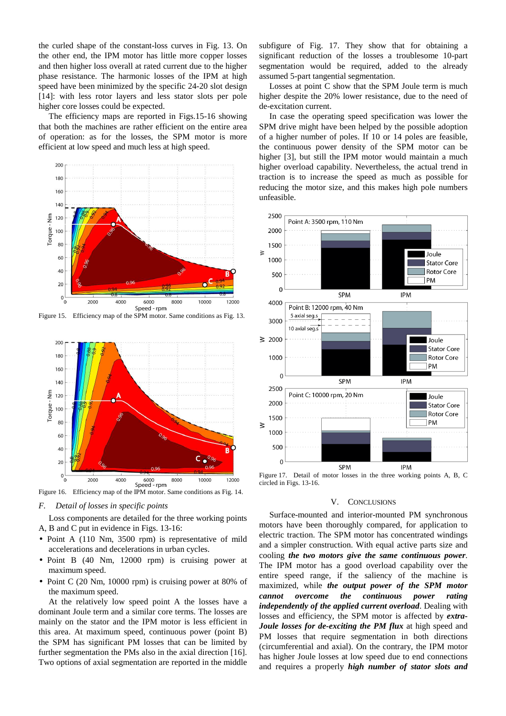the curled shape of the constant-loss curves in Fig. 13. On the other end, the IPM motor has little more copper losses and then higher loss overall at rated current due to the higher phase resistance. The harmonic losses of the IPM at high speed have been minimized by the specific 24-20 slot design [14]: with less rotor layers and less stator slots per pole higher core losses could be expected.

The efficiency maps are reported in Figs.15-16 showing that both the machines are rather efficient on the entire area of operation: as for the losses, the SPM motor is more efficient at low speed and much less at high speed.

![](_page_7_Figure_2.jpeg)

Figure 15. Efficiency map of the SPM motor. Same conditions as Fig. 13.

![](_page_7_Figure_4.jpeg)

Figure 16. Efficiency map of the IPM motor. Same conditions as Fig. 14.

# *F. Detail of losses in specific points*

Loss components are detailed for the three working points A, B and C put in evidence in Figs. 13-16:

- Point A (110 Nm, 3500 rpm) is representative of mild accelerations and decelerations in urban cycles.
- Point B (40 Nm, 12000 rpm) is cruising power at maximum speed.
- Point C (20 Nm, 10000 rpm) is cruising power at 80% of the maximum speed.

At the relatively low speed point A the losses have a dominant Joule term and a similar core terms. The losses are mainly on the stator and the IPM motor is less efficient in this area. At maximum speed, continuous power (point B) the SPM has significant PM losses that can be limited by further segmentation the PMs also in the axial direction [16]. Two options of axial segmentation are reported in the middle subfigure of Fig. 17. They show that for obtaining a significant reduction of the losses a troublesome 10-part segmentation would be required, added to the already assumed 5-part tangential segmentation.

Losses at point C show that the SPM Joule term is much higher despite the 20% lower resistance, due to the need of de-excitation current.

In case the operating speed specification was lower the SPM drive might have been helped by the possible adoption of a higher number of poles. If 10 or 14 poles are feasible, the continuous power density of the SPM motor can be higher [3], but still the IPM motor would maintain a much higher overload capability. Nevertheless, the actual trend in traction is to increase the speed as much as possible for reducing the motor size, and this makes high pole numbers unfeasible.

![](_page_7_Figure_15.jpeg)

Figure 17. Detail of motor losses in the three working points A, B, C circled in Figs. 13-16.

#### V. CONCLUSIONS

Surface-mounted and interior-mounted PM synchronous motors have been thoroughly compared, for application to electric traction. The SPM motor has concentrated windings and a simpler construction. With equal active parts size and cooling *the two motors give the same continuous power*. The IPM motor has a good overload capability over the entire speed range, if the saliency of the machine is maximized, while *the output power of the SPM motor cannot overcome the continuous power rating independently of the applied current overload*. Dealing with losses and efficiency, the SPM motor is affected by *extra-Joule losses for de-exciting the PM flux* at high speed and PM losses that require segmentation in both directions (circumferential and axial). On the contrary, the IPM motor has higher Joule losses at low speed due to end connections and requires a properly *high number of stator slots and*